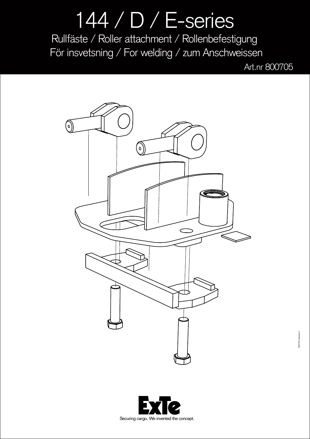## 144 / D / E-series Rullfäste / Roller attachment / Rollenbefestigung För insvetsning / For welding / zum Anschweissen

Art.nr 800705